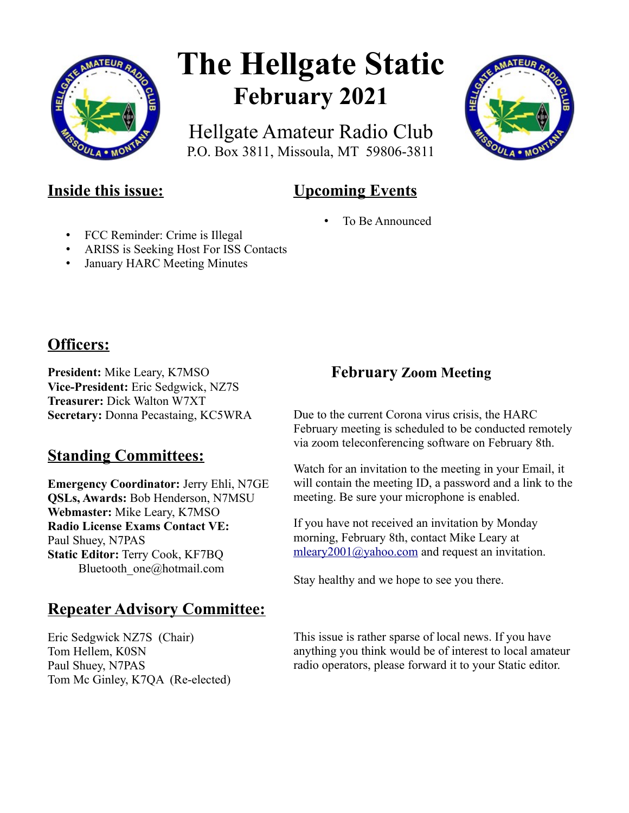

# **The Hellgate Static February 2021**

Hellgate Amateur Radio Club P.O. Box 3811, Missoula, MT 59806-3811



# **Upcoming Events**

To Be Announced

- FCC Reminder: Crime is Illegal
- ARISS is Seeking Host For ISS Contacts
- January HARC Meeting Minutes

#### **Officers:**

**President:** Mike Leary, K7MSO **Vice-President:** Eric Sedgwick, NZ7S **Treasurer:** Dick Walton W7XT **Secretary:** Donna Pecastaing, KC5WRA

# **Standing Committees:**

**Emergency Coordinator:** Jerry Ehli, N7GE **QSLs, Awards:** Bob Henderson, N7MSU **Webmaster:** Mike Leary, K7MSO **Radio License Exams Contact VE:** Paul Shuey, N7PAS **Static Editor:** Terry Cook, KF7BQ Bluetooth\_one@hotmail.com

# **Repeater Advisory Committee:**

Eric Sedgwick NZ7S (Chair) Tom Hellem, K0SN Paul Shuey, N7PAS Tom Mc Ginley, K7QA (Re-elected)

#### **February Zoom Meeting**

Due to the current Corona virus crisis, the HARC February meeting is scheduled to be conducted remotely via zoom teleconferencing software on February 8th.

Watch for an invitation to the meeting in your Email, it will contain the meeting ID, a password and a link to the meeting. Be sure your microphone is enabled.

If you have not received an invitation by Monday morning, February 8th, contact Mike Leary at [mleary2001@yahoo.com](mailto:mleary2001@yahoo.com) and request an invitation.

Stay healthy and we hope to see you there.

This issue is rather sparse of local news. If you have anything you think would be of interest to local amateur radio operators, please forward it to your Static editor.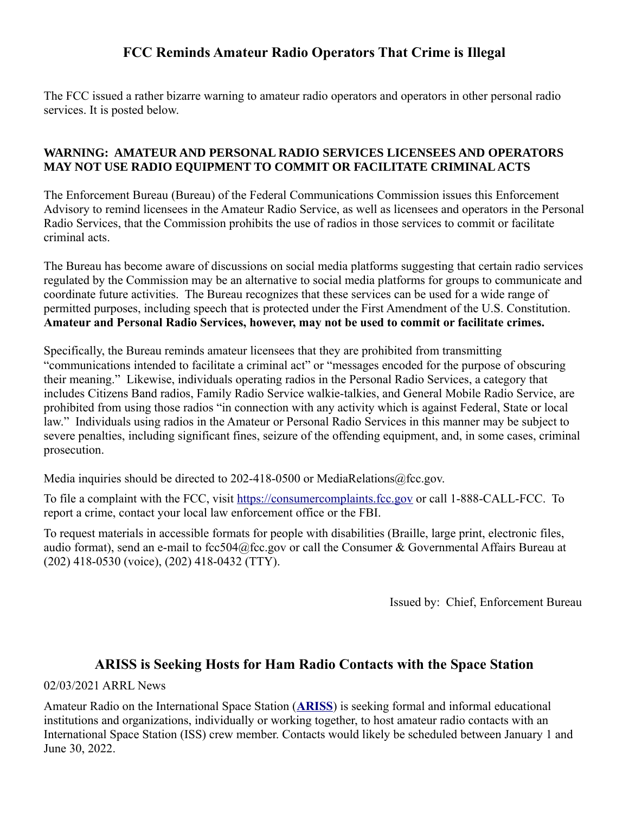#### **FCC Reminds Amateur Radio Operators That Crime is Illegal**

The FCC issued a rather bizarre warning to amateur radio operators and operators in other personal radio services. It is posted below.

#### **WARNING: AMATEUR AND PERSONAL RADIO SERVICES LICENSEES AND OPERATORS MAY NOT USE RADIO EQUIPMENT TO COMMIT OR FACILITATE CRIMINAL ACTS**

The Enforcement Bureau (Bureau) of the Federal Communications Commission issues this Enforcement Advisory to remind licensees in the Amateur Radio Service, as well as licensees and operators in the Personal Radio Services, that the Commission prohibits the use of radios in those services to commit or facilitate criminal acts.

The Bureau has become aware of discussions on social media platforms suggesting that certain radio services regulated by the Commission may be an alternative to social media platforms for groups to communicate and coordinate future activities. The Bureau recognizes that these services can be used for a wide range of permitted purposes, including speech that is protected under the First Amendment of the U.S. Constitution. **Amateur and Personal Radio Services, however, may not be used to commit or facilitate crimes.**

Specifically, the Bureau reminds amateur licensees that they are prohibited from transmitting "communications intended to facilitate a criminal act" or "messages encoded for the purpose of obscuring their meaning." Likewise, individuals operating radios in the Personal Radio Services, a category that includes Citizens Band radios, Family Radio Service walkie-talkies, and General Mobile Radio Service, are prohibited from using those radios "in connection with any activity which is against Federal, State or local law." Individuals using radios in the Amateur or Personal Radio Services in this manner may be subject to severe penalties, including significant fines, seizure of the offending equipment, and, in some cases, criminal prosecution.

Media inquiries should be directed to 202-418-0500 or MediaRelations@fcc.gov.

To file a complaint with the FCC, visit [https://consumercomplaints.fcc.gov](https://consumercomplaints.fcc.gov/) or call 1-888-CALL-FCC. To report a crime, contact your local law enforcement office or the FBI.

To request materials in accessible formats for people with disabilities (Braille, large print, electronic files, audio format), send an e-mail to fcc504@fcc.gov or call the Consumer & Governmental Affairs Bureau at (202) 418-0530 (voice), (202) 418-0432 (TTY).

Issued by: Chief, Enforcement Bureau

#### **ARISS is Seeking Hosts for Ham Radio Contacts with the Space Station**

02/03/2021 ARRL News

Amateur Radio on the International Space Station (**[ARISS](http://www.ariss.org/)**) is seeking formal and informal educational institutions and organizations, individually or working together, to host amateur radio contacts with an International Space Station (ISS) crew member. Contacts would likely be scheduled between January 1 and June 30, 2022.